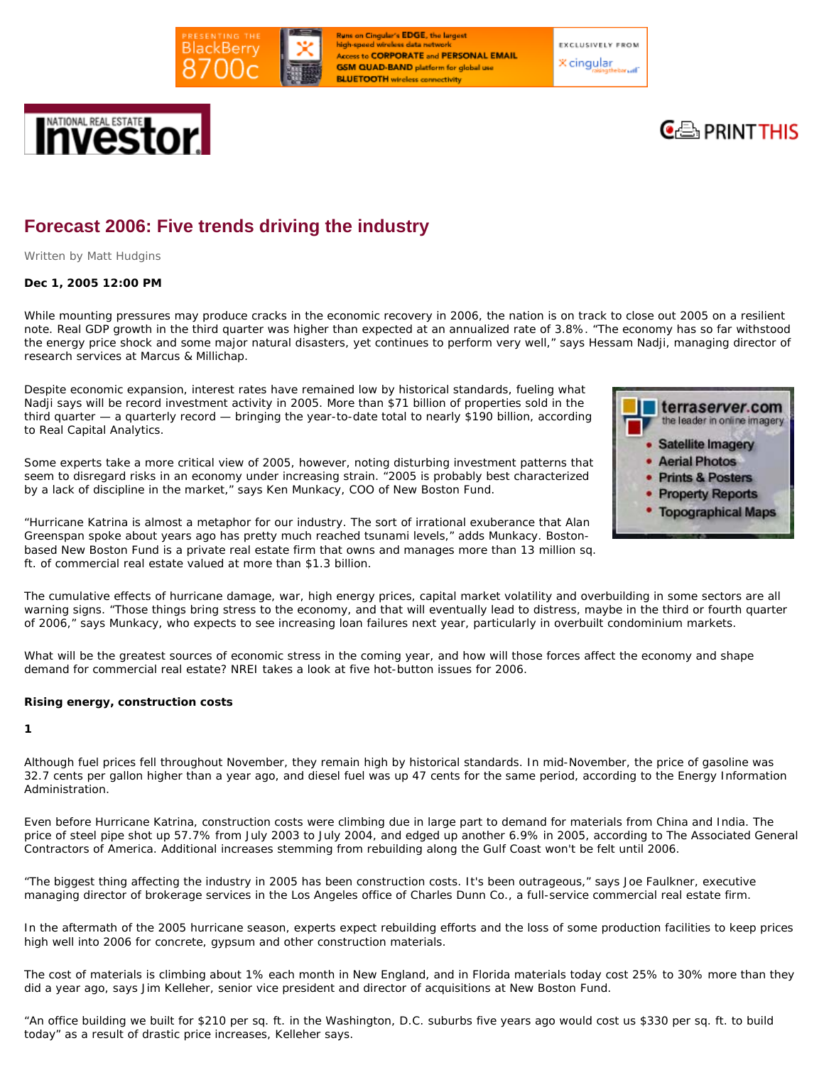

**Runs on Cingular's EDGE, the largest** high-speed wireless data nety **Access to CORPORATE and PERSONAL EMAIL GSM QUAD-BAND** platform for global use **BLUETOOTH** wireless connectivity

**EXCLUSIVELY FROM X** cingular

# Investo



# **Forecast 2006: Five trends driving the industry**

*Written by Matt Hudgins* 

# **Dec 1, 2005 12:00 PM**

While mounting pressures may produce cracks in the economic recovery in 2006, the nation is on track to close out 2005 on a resilient note. Real GDP growth in the third quarter was higher than expected at an annualized rate of 3.8%. "The economy has so far withstood the energy price shock and some major natural disasters, yet continues to perform very well," says Hessam Nadji, managing director of research services at Marcus & Millichap.

Despite economic expansion, interest rates have remained low by historical standards, fueling what Nadji says will be record investment activity in 2005. More than \$71 billion of properties sold in the third quarter — a quarterly record — bringing the year-to-date total to nearly \$190 billion, according to Real Capital Analytics.

Some experts take a more critical view of 2005, however, noting disturbing investment patterns that seem to disregard risks in an economy under increasing strain. "2005 is probably best characterized by a lack of discipline in the market," says Ken Munkacy, COO of New Boston Fund.



"Hurricane Katrina is almost a metaphor for our industry. The sort of irrational exuberance that Alan Greenspan spoke about years ago has pretty much reached tsunami levels," adds Munkacy. Bostonbased New Boston Fund is a private real estate firm that owns and manages more than 13 million sq. ft. of commercial real estate valued at more than \$1.3 billion.

The cumulative effects of hurricane damage, war, high energy prices, capital market volatility and overbuilding in some sectors are all warning signs. "Those things bring stress to the economy, and that will eventually lead to distress, maybe in the third or fourth quarter of 2006," says Munkacy, who expects to see increasing loan failures next year, particularly in overbuilt condominium markets.

What will be the greatest sources of economic stress in the coming year, and how will those forces affect the economy and shape demand for commercial real estate? NREI takes a look at five hot-button issues for 2006.

# **Rising energy, construction costs**

#### **1**

Although fuel prices fell throughout November, they remain high by historical standards. In mid-November, the price of gasoline was 32.7 cents per gallon higher than a year ago, and diesel fuel was up 47 cents for the same period, according to the Energy Information Administration.

Even before Hurricane Katrina, construction costs were climbing due in large part to demand for materials from China and India. The price of steel pipe shot up 57.7% from July 2003 to July 2004, and edged up another 6.9% in 2005, according to The Associated General Contractors of America. Additional increases stemming from rebuilding along the Gulf Coast won't be felt until 2006.

"The biggest thing affecting the industry in 2005 has been construction costs. It's been outrageous," says Joe Faulkner, executive managing director of brokerage services in the Los Angeles office of Charles Dunn Co., a full-service commercial real estate firm.

In the aftermath of the 2005 hurricane season, experts expect rebuilding efforts and the loss of some production facilities to keep prices high well into 2006 for concrete, gypsum and other construction materials.

The cost of materials is climbing about 1% each month in New England, and in Florida materials today cost 25% to 30% more than they did a year ago, says Jim Kelleher, senior vice president and director of acquisitions at New Boston Fund.

"An office building we built for \$210 per sq. ft. in the Washington, D.C. suburbs five years ago would cost us \$330 per sq. ft. to build today" as a result of drastic price increases, Kelleher says.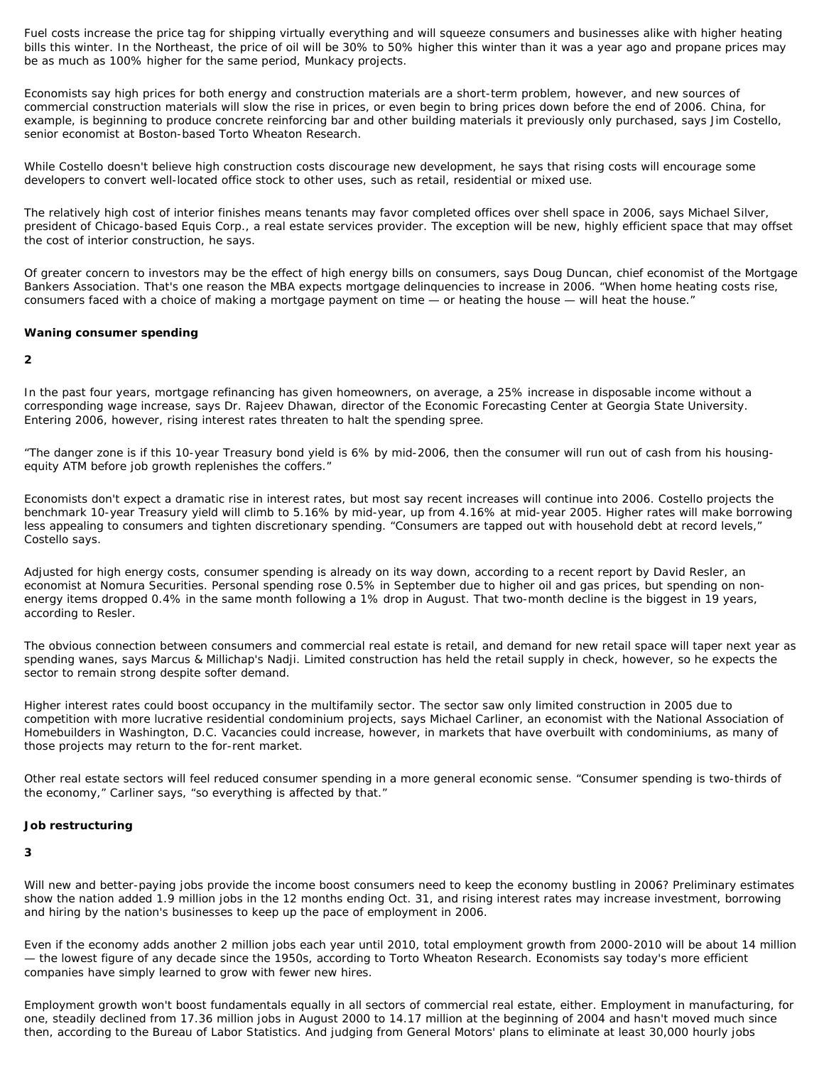Fuel costs increase the price tag for shipping virtually everything and will squeeze consumers and businesses alike with higher heating bills this winter. In the Northeast, the price of oil will be 30% to 50% higher this winter than it was a year ago and propane prices may be as much as 100% higher for the same period, Munkacy projects.

Economists say high prices for both energy and construction materials are a short-term problem, however, and new sources of commercial construction materials will slow the rise in prices, or even begin to bring prices down before the end of 2006. China, for example, is beginning to produce concrete reinforcing bar and other building materials it previously only purchased, says Jim Costello, senior economist at Boston-based Torto Wheaton Research.

While Costello doesn't believe high construction costs discourage new development, he says that rising costs will encourage some developers to convert well-located office stock to other uses, such as retail, residential or mixed use.

The relatively high cost of interior finishes means tenants may favor completed offices over shell space in 2006, says Michael Silver, president of Chicago-based Equis Corp., a real estate services provider. The exception will be new, highly efficient space that may offset the cost of interior construction, he says.

Of greater concern to investors may be the effect of high energy bills on consumers, says Doug Duncan, chief economist of the Mortgage Bankers Association. That's one reason the MBA expects mortgage delinquencies to increase in 2006. "When home heating costs rise, consumers faced with a choice of making a mortgage payment on time — or heating the house — will heat the house."

## **Waning consumer spending**

**2** 

In the past four years, mortgage refinancing has given homeowners, on average, a 25% increase in disposable income without a corresponding wage increase, says Dr. Rajeev Dhawan, director of the Economic Forecasting Center at Georgia State University. Entering 2006, however, rising interest rates threaten to halt the spending spree.

"The danger zone is if this 10-year Treasury bond yield is 6% by mid-2006, then the consumer will run out of cash from his housingequity ATM before job growth replenishes the coffers."

Economists don't expect a dramatic rise in interest rates, but most say recent increases will continue into 2006. Costello projects the benchmark 10-year Treasury yield will climb to 5.16% by mid-year, up from 4.16% at mid-year 2005. Higher rates will make borrowing less appealing to consumers and tighten discretionary spending. "Consumers are tapped out with household debt at record levels," Costello says.

Adjusted for high energy costs, consumer spending is already on its way down, according to a recent report by David Resler, an economist at Nomura Securities. Personal spending rose 0.5% in September due to higher oil and gas prices, but spending on nonenergy items dropped 0.4% in the same month following a 1% drop in August. That two-month decline is the biggest in 19 years, according to Resler.

The obvious connection between consumers and commercial real estate is retail, and demand for new retail space will taper next year as spending wanes, says Marcus & Millichap's Nadji. Limited construction has held the retail supply in check, however, so he expects the sector to remain strong despite softer demand.

Higher interest rates could boost occupancy in the multifamily sector. The sector saw only limited construction in 2005 due to competition with more lucrative residential condominium projects, says Michael Carliner, an economist with the National Association of Homebuilders in Washington, D.C. Vacancies could increase, however, in markets that have overbuilt with condominiums, as many of those projects may return to the for-rent market.

Other real estate sectors will feel reduced consumer spending in a more general economic sense. "Consumer spending is two-thirds of the economy," Carliner says, "so everything is affected by that."

#### **Job restructuring**

#### **3**

Will new and better-paying jobs provide the income boost consumers need to keep the economy bustling in 2006? Preliminary estimates show the nation added 1.9 million jobs in the 12 months ending Oct. 31, and rising interest rates may increase investment, borrowing and hiring by the nation's businesses to keep up the pace of employment in 2006.

Even if the economy adds another 2 million jobs each year until 2010, total employment growth from 2000-2010 will be about 14 million — the lowest figure of any decade since the 1950s, according to Torto Wheaton Research. Economists say today's more efficient companies have simply learned to grow with fewer new hires.

Employment growth won't boost fundamentals equally in all sectors of commercial real estate, either. Employment in manufacturing, for one, steadily declined from 17.36 million jobs in August 2000 to 14.17 million at the beginning of 2004 and hasn't moved much since then, according to the Bureau of Labor Statistics. And judging from General Motors' plans to eliminate at least 30,000 hourly jobs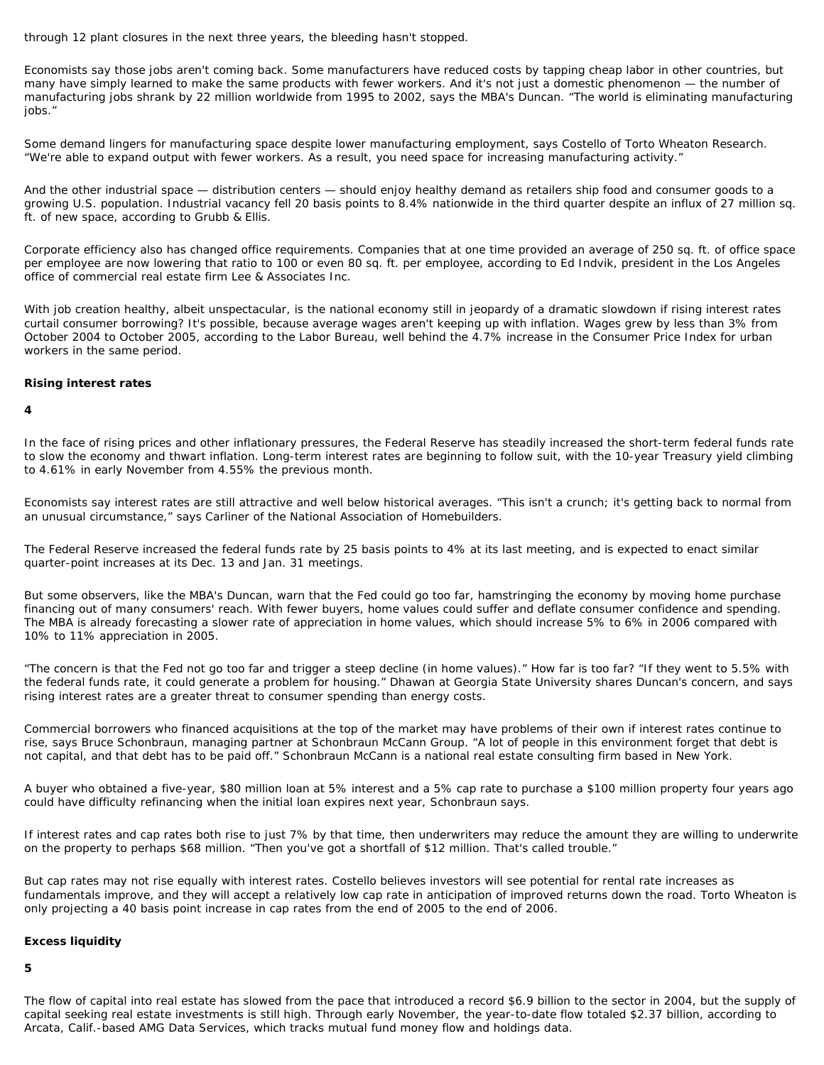through 12 plant closures in the next three years, the bleeding hasn't stopped.

Economists say those jobs aren't coming back. Some manufacturers have reduced costs by tapping cheap labor in other countries, but many have simply learned to make the same products with fewer workers. And it's not just a domestic phenomenon — the number of manufacturing jobs shrank by 22 million worldwide from 1995 to 2002, says the MBA's Duncan. "The world is eliminating manufacturing iobs."

Some demand lingers for manufacturing space despite lower manufacturing employment, says Costello of Torto Wheaton Research. "We're able to expand output with fewer workers. As a result, you need space for increasing manufacturing activity."

And the other industrial space — distribution centers — should enjoy healthy demand as retailers ship food and consumer goods to a growing U.S. population. Industrial vacancy fell 20 basis points to 8.4% nationwide in the third quarter despite an influx of 27 million sq. ft. of new space, according to Grubb & Ellis.

Corporate efficiency also has changed office requirements. Companies that at one time provided an average of 250 sq. ft. of office space per employee are now lowering that ratio to 100 or even 80 sq. ft. per employee, according to Ed Indvik, president in the Los Angeles office of commercial real estate firm Lee & Associates Inc.

With job creation healthy, albeit unspectacular, is the national economy still in jeopardy of a dramatic slowdown if rising interest rates curtail consumer borrowing? It's possible, because average wages aren't keeping up with inflation. Wages grew by less than 3% from October 2004 to October 2005, according to the Labor Bureau, well behind the 4.7% increase in the Consumer Price Index for urban workers in the same period.

## **Rising interest rates**

#### **4**

In the face of rising prices and other inflationary pressures, the Federal Reserve has steadily increased the short-term federal funds rate to slow the economy and thwart inflation. Long-term interest rates are beginning to follow suit, with the 10-year Treasury yield climbing to 4.61% in early November from 4.55% the previous month.

Economists say interest rates are still attractive and well below historical averages. "This isn't a crunch; it's getting back to normal from an unusual circumstance," says Carliner of the National Association of Homebuilders.

The Federal Reserve increased the federal funds rate by 25 basis points to 4% at its last meeting, and is expected to enact similar quarter-point increases at its Dec. 13 and Jan. 31 meetings.

But some observers, like the MBA's Duncan, warn that the Fed could go too far, hamstringing the economy by moving home purchase financing out of many consumers' reach. With fewer buyers, home values could suffer and deflate consumer confidence and spending. The MBA is already forecasting a slower rate of appreciation in home values, which should increase 5% to 6% in 2006 compared with 10% to 11% appreciation in 2005.

"The concern is that the Fed not go too far and trigger a steep decline (in home values)." How far is too far? "If they went to 5.5% with the federal funds rate, it could generate a problem for housing." Dhawan at Georgia State University shares Duncan's concern, and says rising interest rates are a greater threat to consumer spending than energy costs.

Commercial borrowers who financed acquisitions at the top of the market may have problems of their own if interest rates continue to rise, says Bruce Schonbraun, managing partner at Schonbraun McCann Group. "A lot of people in this environment forget that debt is not capital, and that debt has to be paid off." Schonbraun McCann is a national real estate consulting firm based in New York.

A buyer who obtained a five-year, \$80 million loan at 5% interest and a 5% cap rate to purchase a \$100 million property four years ago could have difficulty refinancing when the initial loan expires next year, Schonbraun says.

If interest rates and cap rates both rise to just 7% by that time, then underwriters may reduce the amount they are willing to underwrite on the property to perhaps \$68 million. "Then you've got a shortfall of \$12 million. That's called trouble."

But cap rates may not rise equally with interest rates. Costello believes investors will see potential for rental rate increases as fundamentals improve, and they will accept a relatively low cap rate in anticipation of improved returns down the road. Torto Wheaton is only projecting a 40 basis point increase in cap rates from the end of 2005 to the end of 2006.

#### **Excess liquidity**

# **5**

The flow of capital into real estate has slowed from the pace that introduced a record \$6.9 billion to the sector in 2004, but the supply of capital seeking real estate investments is still high. Through early November, the year-to-date flow totaled \$2.37 billion, according to Arcata, Calif.-based AMG Data Services, which tracks mutual fund money flow and holdings data.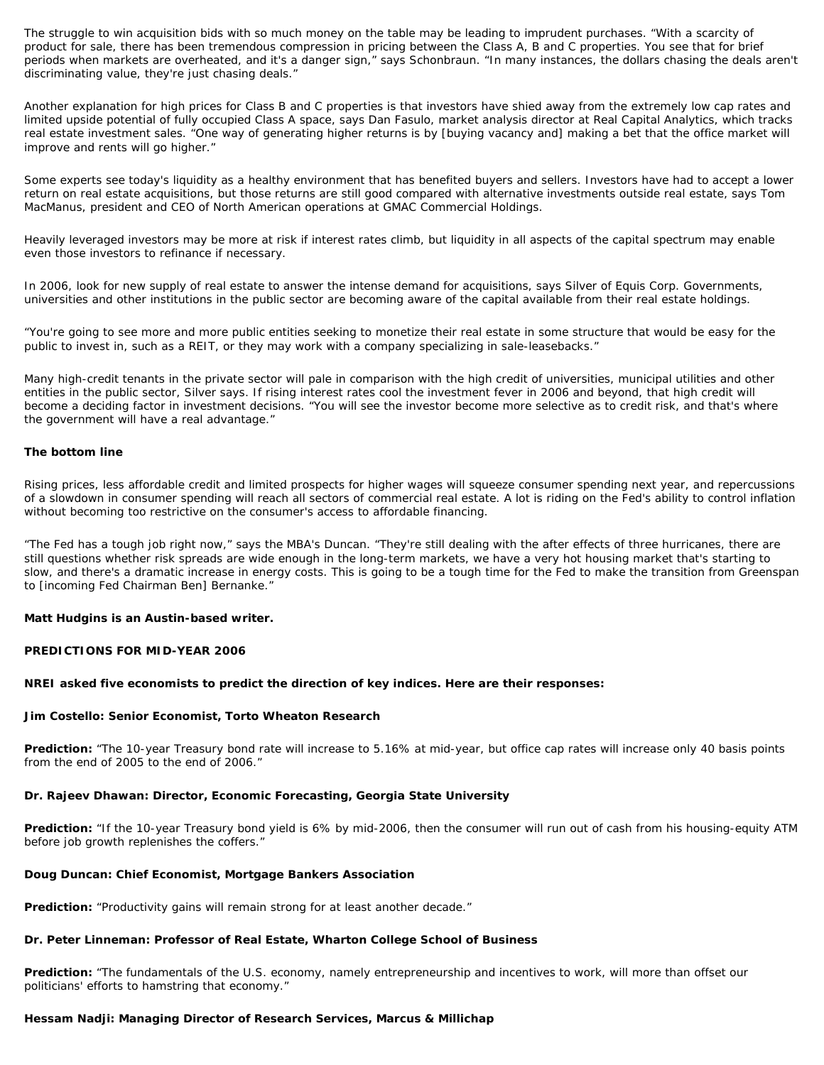The struggle to win acquisition bids with so much money on the table may be leading to imprudent purchases. "With a scarcity of product for sale, there has been tremendous compression in pricing between the Class A, B and C properties. You see that for brief periods when markets are overheated, and it's a danger sign," says Schonbraun. "In many instances, the dollars chasing the deals aren't discriminating value, they're just chasing deals."

Another explanation for high prices for Class B and C properties is that investors have shied away from the extremely low cap rates and limited upside potential of fully occupied Class A space, says Dan Fasulo, market analysis director at Real Capital Analytics, which tracks real estate investment sales. "One way of generating higher returns is by [buying vacancy and] making a bet that the office market will improve and rents will go higher."

Some experts see today's liquidity as a healthy environment that has benefited buyers and sellers. Investors have had to accept a lower return on real estate acquisitions, but those returns are still good compared with alternative investments outside real estate, says Tom MacManus, president and CEO of North American operations at GMAC Commercial Holdings.

Heavily leveraged investors may be more at risk if interest rates climb, but liquidity in all aspects of the capital spectrum may enable even those investors to refinance if necessary.

In 2006, look for new supply of real estate to answer the intense demand for acquisitions, says Silver of Equis Corp. Governments, universities and other institutions in the public sector are becoming aware of the capital available from their real estate holdings.

"You're going to see more and more public entities seeking to monetize their real estate in some structure that would be easy for the public to invest in, such as a REIT, or they may work with a company specializing in sale-leasebacks."

Many high-credit tenants in the private sector will pale in comparison with the high credit of universities, municipal utilities and other entities in the public sector, Silver says. If rising interest rates cool the investment fever in 2006 and beyond, that high credit will become a deciding factor in investment decisions. "You will see the investor become more selective as to credit risk, and that's where the government will have a real advantage."

#### **The bottom line**

Rising prices, less affordable credit and limited prospects for higher wages will squeeze consumer spending next year, and repercussions of a slowdown in consumer spending will reach all sectors of commercial real estate. A lot is riding on the Fed's ability to control inflation without becoming too restrictive on the consumer's access to affordable financing.

"The Fed has a tough job right now," says the MBA's Duncan. "They're still dealing with the after effects of three hurricanes, there are still questions whether risk spreads are wide enough in the long-term markets, we have a very hot housing market that's starting to slow, and there's a dramatic increase in energy costs. This is going to be a tough time for the Fed to make the transition from Greenspan to [incoming Fed Chairman Ben] Bernanke."

#### **Matt Hudgins is an Austin-based writer.**

#### **PREDICTIONS FOR MID-YEAR 2006**

#### **NREI asked five economists to predict the direction of key indices. Here are their responses:**

#### **Jim Costello: Senior Economist, Torto Wheaton Research**

**Prediction:** "The 10-year Treasury bond rate will increase to 5.16% at mid-year, but office cap rates will increase only 40 basis points from the end of 2005 to the end of 2006."

#### **Dr. Rajeev Dhawan: Director, Economic Forecasting, Georgia State University**

**Prediction:** "If the 10-year Treasury bond yield is 6% by mid-2006, then the consumer will run out of cash from his housing-equity ATM before job growth replenishes the coffers."

#### **Doug Duncan: Chief Economist, Mortgage Bankers Association**

**Prediction:** "Productivity gains will remain strong for at least another decade."

#### **Dr. Peter Linneman: Professor of Real Estate, Wharton College School of Business**

**Prediction:** "The fundamentals of the U.S. economy, namely entrepreneurship and incentives to work, will more than offset our politicians' efforts to hamstring that economy."

# **Hessam Nadji: Managing Director of Research Services, Marcus & Millichap**